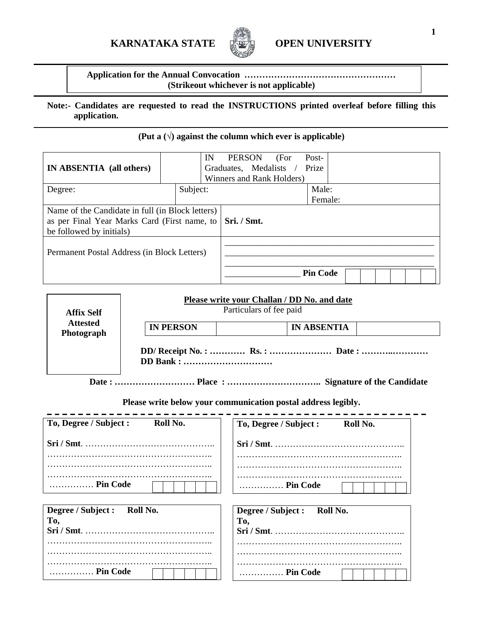# **KARNATAKA STATE IT OPEN UNIVERSITY**



**Application for the Annual Convocation …………………………………………… (Strikeout whichever is not applicable)** 

### **Note:- Candidates are requested to read the INSTRUCTIONS printed overleaf before filling this application.**

## **(Put a (**√**) against the column which ever is applicable)**

| IN ABSENTIA (all others)                                                                                                     | IN       | PERSON<br>Graduates, Medalists /<br>Winners and Rank Holders) | (For | Post-<br>Prize   |  |  |
|------------------------------------------------------------------------------------------------------------------------------|----------|---------------------------------------------------------------|------|------------------|--|--|
| Degree:                                                                                                                      | Subject: |                                                               |      | Male:<br>Female: |  |  |
| Name of the Candidate in full (in Block letters)<br>as per Final Year Marks Card (First name, to<br>be followed by initials) |          | Sri. / Smt.                                                   |      |                  |  |  |
| Permanent Postal Address (in Block Letters)                                                                                  |          |                                                               |      |                  |  |  |
|                                                                                                                              |          |                                                               |      | <b>Pin Code</b>  |  |  |

| <b>Affix Self</b>             | Please write your Challan / DD No. and date<br>Particulars of fee paid |  |  |  |
|-------------------------------|------------------------------------------------------------------------|--|--|--|
| <b>Attested</b><br>Photograph | <b>IN PERSON</b><br><b>IN ABSENTIA</b>                                 |  |  |  |
|                               | DD Bank :                                                              |  |  |  |
|                               |                                                                        |  |  |  |

**Please write below your communication postal address legibly.** 

| To, Degree / Subject :<br>Roll No.    | To, Degree / Subject :<br>Roll No.    |
|---------------------------------------|---------------------------------------|
|                                       |                                       |
| Pin Code                              | Pin Code                              |
| Degree / Subject :<br>Roll No.<br>To, | Degree / Subject :<br>Roll No.<br>To, |
| Pin Code                              | Pin Code                              |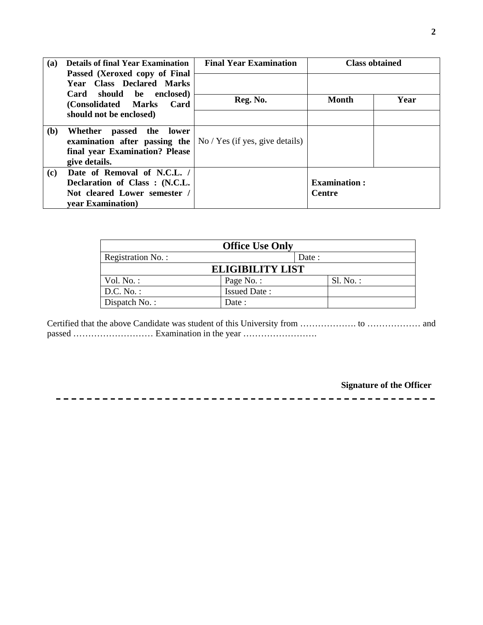| (a) | <b>Details of final Year Examination</b>                                                                | <b>Final Year Examination</b> |                     | <b>Class obtained</b> |
|-----|---------------------------------------------------------------------------------------------------------|-------------------------------|---------------------|-----------------------|
|     | Passed (Xeroxed copy of Final<br><b>Year Class Declared Marks</b>                                       |                               |                     |                       |
|     | Card should be enclosed)<br>(Consolidated Marks)<br>Card                                                | Reg. No.                      | <b>Month</b>        | Year                  |
|     | should not be enclosed)                                                                                 |                               |                     |                       |
| (b) | Whether<br>passed the<br>lower<br>examination after passing the $\vert$ No / Yes (if yes, give details) |                               |                     |                       |
|     | final year Examination? Please                                                                          |                               |                     |                       |
|     | give details.                                                                                           |                               |                     |                       |
| (c) | Date of Removal of N.C.L. /                                                                             |                               |                     |                       |
|     | Declaration of Class: (N.C.L.                                                                           |                               | <b>Examination:</b> |                       |
|     | Not cleared Lower semester /                                                                            |                               | <b>Centre</b>       |                       |
|     | year Examination)                                                                                       |                               |                     |                       |

| <b>Office Use Only</b>  |                     |        |             |
|-------------------------|---------------------|--------|-------------|
| Registration No.:       |                     | Date : |             |
| <b>ELIGIBILITY LIST</b> |                     |        |             |
| Vol. $No.$ :            | Page No.:           |        | $SI. No.$ : |
| $D.C. No.$ :            | <b>Issued Date:</b> |        |             |
| Dispatch No.:           | Date :              |        |             |

Certified that the above Candidate was student of this University from ………………. to ……………… and passed ……………………… Examination in the year …………………….

-------------------------------

**Signature of the Officer** 

-----------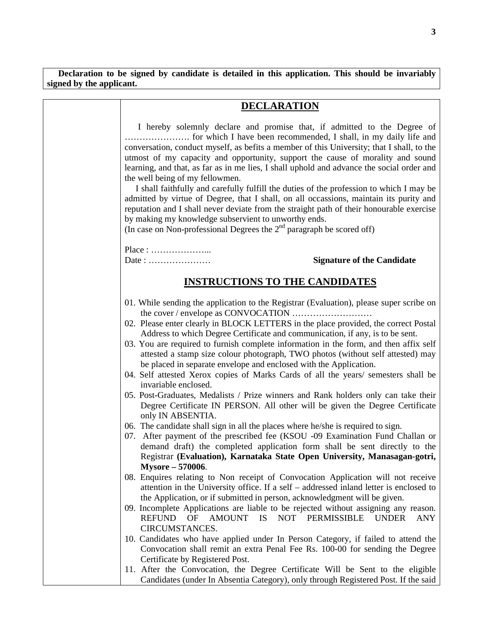**Declaration to be signed by candidate is detailed in this application. This should be invariably signed by the applicant.** 

| <b>DECLARATION</b>                                                                                                                                                                                                                                                                                                                                                                                                                                                                                                                                                                                                                                                                                                                                                                                                                                                                                                                                                                                                                                                                                                                                                                   |  |  |
|--------------------------------------------------------------------------------------------------------------------------------------------------------------------------------------------------------------------------------------------------------------------------------------------------------------------------------------------------------------------------------------------------------------------------------------------------------------------------------------------------------------------------------------------------------------------------------------------------------------------------------------------------------------------------------------------------------------------------------------------------------------------------------------------------------------------------------------------------------------------------------------------------------------------------------------------------------------------------------------------------------------------------------------------------------------------------------------------------------------------------------------------------------------------------------------|--|--|
| I hereby solemnly declare and promise that, if admitted to the Degree of<br>conversation, conduct myself, as befits a member of this University; that I shall, to the<br>utmost of my capacity and opportunity, support the cause of morality and sound<br>learning, and that, as far as in me lies, I shall uphold and advance the social order and<br>the well being of my fellowmen.<br>I shall faithfully and carefully fulfill the duties of the profession to which I may be<br>admitted by virtue of Degree, that I shall, on all occassions, maintain its purity and<br>reputation and I shall never deviate from the straight path of their honourable exercise<br>by making my knowledge subservient to unworthy ends.<br>(In case on Non-professional Degrees the $2nd$ paragraph be scored off)                                                                                                                                                                                                                                                                                                                                                                          |  |  |
|                                                                                                                                                                                                                                                                                                                                                                                                                                                                                                                                                                                                                                                                                                                                                                                                                                                                                                                                                                                                                                                                                                                                                                                      |  |  |
| <b>Signature of the Candidate</b><br>Date:                                                                                                                                                                                                                                                                                                                                                                                                                                                                                                                                                                                                                                                                                                                                                                                                                                                                                                                                                                                                                                                                                                                                           |  |  |
| <b>INSTRUCTIONS TO THE CANDIDATES</b>                                                                                                                                                                                                                                                                                                                                                                                                                                                                                                                                                                                                                                                                                                                                                                                                                                                                                                                                                                                                                                                                                                                                                |  |  |
| 01. While sending the application to the Registrar (Evaluation), please super scribe on<br>02. Please enter clearly in BLOCK LETTERS in the place provided, the correct Postal<br>Address to which Degree Certificate and communication, if any, is to be sent.<br>03. You are required to furnish complete information in the form, and then affix self<br>attested a stamp size colour photograph, TWO photos (without self attested) may<br>be placed in separate envelope and enclosed with the Application.<br>04. Self attested Xerox copies of Marks Cards of all the years/ semesters shall be<br>invariable enclosed.<br>05. Post-Graduates, Medalists / Prize winners and Rank holders only can take their<br>Degree Certificate IN PERSON. All other will be given the Degree Certificate<br>only IN ABSENTIA.<br>06. The candidate shall sign in all the places where he/she is required to sign.<br>07. After payment of the prescribed fee (KSOU -09 Examination Fund Challan or<br>demand draft) the completed application form shall be sent directly to the<br>Registrar (Evaluation), Karnataka State Open University, Manasagan-gotri,<br><b>Mysore - 570006.</b> |  |  |
| 08. Enquires relating to Non receipt of Convocation Application will not receive<br>attention in the University office. If a self – addressed inland letter is enclosed to<br>the Application, or if submitted in person, acknowledgment will be given.<br>09. Incomplete Applications are liable to be rejected without assigning any reason.<br>REFUND<br>IS NOT PERMISSIBLE<br><b>UNDER</b><br>OF<br>AMOUNT<br><b>ANY</b><br>CIRCUMSTANCES.<br>10. Candidates who have applied under In Person Category, if failed to attend the<br>Convocation shall remit an extra Penal Fee Rs. 100-00 for sending the Degree<br>Certificate by Registered Post.<br>11. After the Convocation, the Degree Certificate Will be Sent to the eligible<br>Candidates (under In Absentia Category), only through Registered Post. If the said                                                                                                                                                                                                                                                                                                                                                       |  |  |

**3**